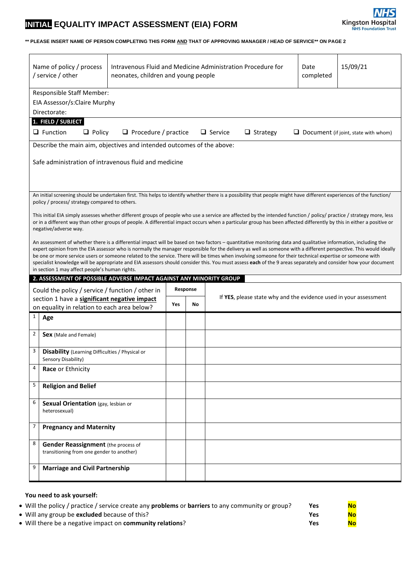## **INITIAL EQUALITY IMPACT ASSESSMENT (EIA) FORM**



## **\*\* PLEASE INSERT NAME OF PERSON COMPLETING THIS FORM AND THAT OF APPROVING MANAGER / HEAD OF SERVICE\*\* ON PAGE 2**

|              | Name of policy / process<br>/ service / other                                                                         | Intravenous Fluid and Medicine Administration Procedure for<br>15/09/21<br>Date<br>neonates, children and young people<br>completed |          |    |                                                                                                                                                                                                                                                                                                                                               |  |                                             |
|--------------|-----------------------------------------------------------------------------------------------------------------------|-------------------------------------------------------------------------------------------------------------------------------------|----------|----|-----------------------------------------------------------------------------------------------------------------------------------------------------------------------------------------------------------------------------------------------------------------------------------------------------------------------------------------------|--|---------------------------------------------|
|              | Responsible Staff Member:<br>EIA Assessor/s:Claire Murphy<br>Directorate:                                             |                                                                                                                                     |          |    |                                                                                                                                                                                                                                                                                                                                               |  |                                             |
|              | 1. FIELD / SUBJECT                                                                                                    |                                                                                                                                     |          |    |                                                                                                                                                                                                                                                                                                                                               |  |                                             |
|              | $\Box$ Function<br>$\Box$ Policy                                                                                      | $\Box$ Procedure / practice                                                                                                         |          |    | $\Box$ Service<br>$\Box$ Strategy                                                                                                                                                                                                                                                                                                             |  | $\Box$ Document (if joint, state with whom) |
|              | Describe the main aim, objectives and intended outcomes of the above:                                                 |                                                                                                                                     |          |    |                                                                                                                                                                                                                                                                                                                                               |  |                                             |
|              | Safe administration of intravenous fluid and medicine                                                                 |                                                                                                                                     |          |    |                                                                                                                                                                                                                                                                                                                                               |  |                                             |
|              | policy / process/ strategy compared to others.                                                                        |                                                                                                                                     |          |    | An initial screening should be undertaken first. This helps to identify whether there is a possibility that people might have different experiences of the function/                                                                                                                                                                          |  |                                             |
|              | negative/adverse way.                                                                                                 |                                                                                                                                     |          |    | This initial EIA simply assesses whether different groups of people who use a service are affected by the intended function / policy/ practice / strategy more, less<br>or in a different way than other groups of people. A differential impact occurs when a particular group has been affected differently by this in either a positive or |  |                                             |
|              |                                                                                                                       |                                                                                                                                     |          |    | An assessment of whether there is a differential impact will be based on two factors – quantitative monitoring data and qualitative information, including the<br>expert opinion from the EIA assessor who is normally the manager responsible for the delivery as well as someone with a different perspective. This would ideally           |  |                                             |
|              | in section 1 may affect people's human rights.<br>2. ASSESSMENT OF POSSIBLE ADVERSE IMPACT AGAINST ANY MINORITY GROUP |                                                                                                                                     |          |    | be one or more service users or someone related to the service. There will be times when involving someone for their technical expertise or someone with<br>specialist knowledge will be appropriate and EIA assessors should consider this. You must assess each of the 9 areas separately and consider how your document                    |  |                                             |
|              | Could the policy / service / function / other in                                                                      |                                                                                                                                     | Response |    |                                                                                                                                                                                                                                                                                                                                               |  |                                             |
|              | section 1 have a significant negative impact<br>on equality in relation to each area below?                           |                                                                                                                                     | Yes      | No | If YES, please state why and the evidence used in your assessment                                                                                                                                                                                                                                                                             |  |                                             |
| $\mathbf{1}$ | Age                                                                                                                   |                                                                                                                                     |          |    |                                                                                                                                                                                                                                                                                                                                               |  |                                             |
| 2            | Sex (Male and Female)                                                                                                 |                                                                                                                                     |          |    |                                                                                                                                                                                                                                                                                                                                               |  |                                             |
| 3            | <b>Disability</b> (Learning Difficulties / Physical or<br>Sensory Disability)                                         |                                                                                                                                     |          |    |                                                                                                                                                                                                                                                                                                                                               |  |                                             |
|              | Race or Ethnicity                                                                                                     |                                                                                                                                     |          |    |                                                                                                                                                                                                                                                                                                                                               |  |                                             |
| 5            | <b>Religion and Belief</b>                                                                                            |                                                                                                                                     |          |    |                                                                                                                                                                                                                                                                                                                                               |  |                                             |
| 6            | Sexual Orientation (gay, lesbian or<br>heterosexual)                                                                  |                                                                                                                                     |          |    |                                                                                                                                                                                                                                                                                                                                               |  |                                             |
| 7            | <b>Pregnancy and Maternity</b>                                                                                        |                                                                                                                                     |          |    |                                                                                                                                                                                                                                                                                                                                               |  |                                             |
| 8            | <b>Gender Reassignment</b> (the process of<br>transitioning from one gender to another)                               |                                                                                                                                     |          |    |                                                                                                                                                                                                                                                                                                                                               |  |                                             |

| • Will the policy / practice / service create any <b>problems</b> or <b>barriers</b> to any community or group? | <b>Yes</b> | <b>No</b> |
|-----------------------------------------------------------------------------------------------------------------|------------|-----------|
| • Will any group be <b>excluded</b> because of this?                                                            | Yes        | <b>No</b> |
| • Will there be a negative impact on <b>community relations</b> ?                                               | Yes        | <b>No</b> |